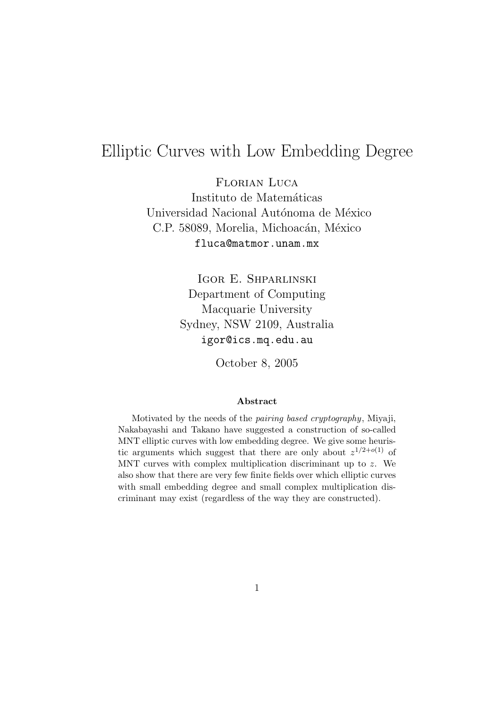# Elliptic Curves with Low Embedding Degree

Florian Luca Instituto de Matemáticas Universidad Nacional Autónoma de México C.P. 58089, Morelia, Michoacán, México fluca@matmor.unam.mx

> Igor E. Shparlinski Department of Computing Macquarie University Sydney, NSW 2109, Australia igor@ics.mq.edu.au

> > October 8, 2005

#### **Abstract**

Motivated by the needs of the pairing based cryptography, Miyaji, Nakabayashi and Takano have suggested a construction of so-called MNT elliptic curves with low embedding degree. We give some heuristic arguments which suggest that there are only about  $z^{1/2+o(1)}$  of MNT curves with complex multiplication discriminant up to  $z$ . We also show that there are very few finite fields over which elliptic curves with small embedding degree and small complex multiplication discriminant may exist (regardless of the way they are constructed).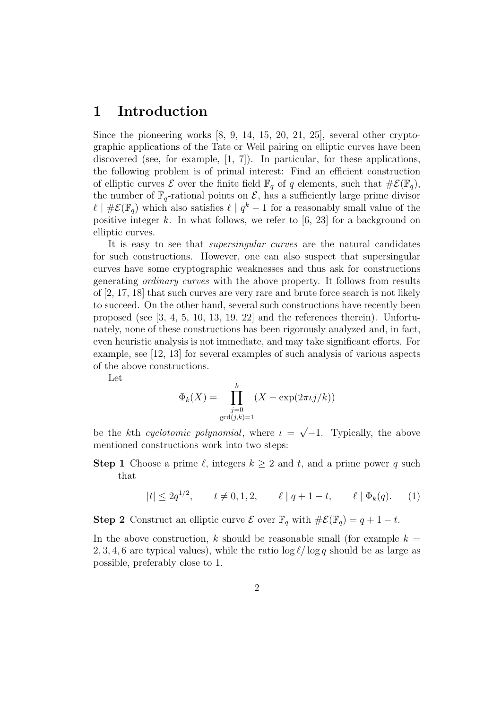## **1 Introduction**

Since the pioneering works [8, 9, 14, 15, 20, 21, 25], several other cryptographic applications of the Tate or Weil pairing on elliptic curves have been discovered (see, for example, [1, 7]). In particular, for these applications, the following problem is of primal interest: Find an efficient construction of elliptic curves  $\mathcal E$  over the finite field  $\mathbb F_q$  of q elements, such that  $\#\mathcal E(\mathbb F_q)$ , the number of  $\mathbb{F}_q$ -rational points on  $\mathcal{E}$ , has a sufficiently large prime divisor  $\ell \mid \# \mathcal{E}(\mathbb{F}_q)$  which also satisfies  $\ell \mid q^k-1$  for a reasonably small value of the positive integer k. In what follows, we refer to  $[6, 23]$  for a background on elliptic curves.

It is easy to see that *supersingular curves* are the natural candidates for such constructions. However, one can also suspect that supersingular curves have some cryptographic weaknesses and thus ask for constructions generating ordinary curves with the above property. It follows from results of [2, 17, 18] that such curves are very rare and brute force search is not likely to succeed. On the other hand, several such constructions have recently been proposed (see [3, 4, 5, 10, 13, 19, 22] and the references therein). Unfortunately, none of these constructions has been rigorously analyzed and, in fact, even heuristic analysis is not immediate, and may take significant efforts. For example, see [12, 13] for several examples of such analysis of various aspects of the above constructions.

Let

$$
\Phi_k(X) = \prod_{\substack{j=0 \text{gcd}(j,k)=1}}^k (X - \exp(2\pi \iota j/k))
$$

be the kth cyclotomic polynomial, where  $\iota = \sqrt{-1}$ . Typically, the above mentioned constructions work into two steps:

#### **Step 1** Choose a prime  $\ell$ , integers  $k \geq 2$  and t, and a prime power q such that

$$
|t| \le 2q^{1/2}, \qquad t \ne 0, 1, 2, \qquad \ell \mid q + 1 - t, \qquad \ell \mid \Phi_k(q). \tag{1}
$$

**Step 2** Construct an elliptic curve  $\mathcal{E}$  over  $\mathbb{F}_q$  with  $\#\mathcal{E}(\mathbb{F}_q) = q + 1 - t$ .

In the above construction, k should be reasonable small (for example  $k =$ 2, 3, 4, 6 are typical values), while the ratio  $\log \ell / \log q$  should be as large as possible, preferably close to 1.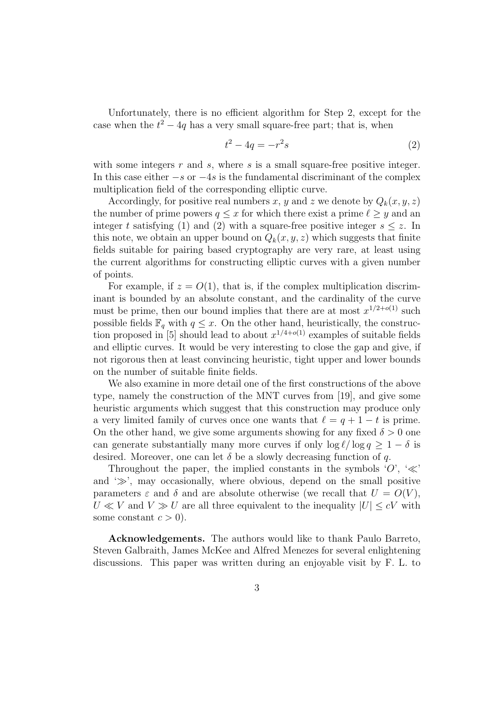Unfortunately, there is no efficient algorithm for Step 2, except for the case when the  $t^2 - 4q$  has a very small square-free part; that is, when

$$
t^2 - 4q = -r^2s\tag{2}
$$

with some integers  $r$  and  $s$ , where  $s$  is a small square-free positive integer. In this case either  $-s$  or  $-4s$  is the fundamental discriminant of the complex multiplication field of the corresponding elliptic curve.

Accordingly, for positive real numbers x, y and z we denote by  $Q_k(x, y, z)$ the number of prime powers  $q \leq x$  for which there exist a prime  $\ell \geq y$  and an integer t satisfying (1) and (2) with a square-free positive integer  $s \leq z$ . In this note, we obtain an upper bound on  $Q_k(x, y, z)$  which suggests that finite fields suitable for pairing based cryptography are very rare, at least using the current algorithms for constructing elliptic curves with a given number of points.

For example, if  $z = O(1)$ , that is, if the complex multiplication discriminant is bounded by an absolute constant, and the cardinality of the curve must be prime, then our bound implies that there are at most  $x^{1/2+o(1)}$  such possible fields  $\mathbb{F}_q$  with  $q \leq x$ . On the other hand, heuristically, the construction proposed in [5] should lead to about  $x^{1/4+o(1)}$  examples of suitable fields and elliptic curves. It would be very interesting to close the gap and give, if not rigorous then at least convincing heuristic, tight upper and lower bounds on the number of suitable finite fields.

We also examine in more detail one of the first constructions of the above type, namely the construction of the MNT curves from [19], and give some heuristic arguments which suggest that this construction may produce only a very limited family of curves once one wants that  $\ell = q + 1 - t$  is prime. On the other hand, we give some arguments showing for any fixed  $\delta > 0$  one can generate substantially many more curves if only  $\log \ell / \log q \geq 1 - \delta$  is desired. Moreover, one can let  $\delta$  be a slowly decreasing function of q.

Throughout the paper, the implied constants in the symbols  $\langle O', \langle \ll \rangle$ and  $\gg$ , may occasionally, where obvious, depend on the small positive parameters  $\varepsilon$  and  $\delta$  and are absolute otherwise (we recall that  $U = O(V)$ ,  $U \ll V$  and  $V \gg U$  are all three equivalent to the inequality  $|U| \leq cV$  with some constant  $c > 0$ ).

**Acknowledgements.** The authors would like to thank Paulo Barreto, Steven Galbraith, James McKee and Alfred Menezes for several enlightening discussions. This paper was written during an enjoyable visit by F. L. to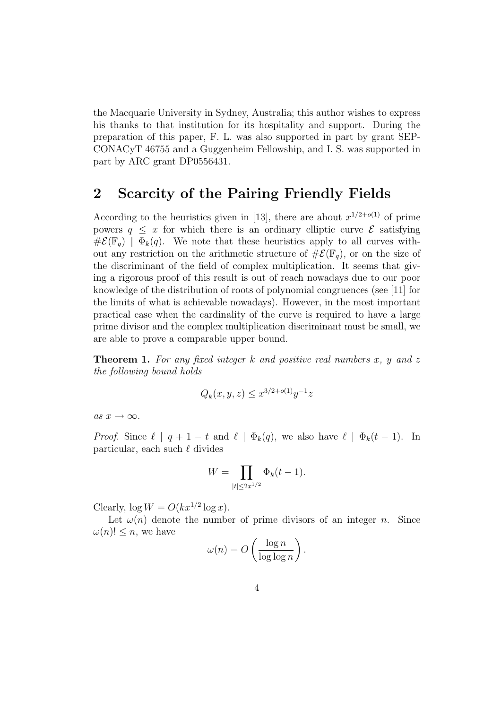the Macquarie University in Sydney, Australia; this author wishes to express his thanks to that institution for its hospitality and support. During the preparation of this paper, F. L. was also supported in part by grant SEP-CONACyT 46755 and a Guggenheim Fellowship, and I. S. was supported in part by ARC grant DP0556431.

# **2 Scarcity of the Pairing Friendly Fields**

According to the heuristics given in [13], there are about  $x^{1/2+o(1)}$  of prime powers  $q \leq x$  for which there is an ordinary elliptic curve  $\mathcal E$  satisfying  $\# \mathcal{E}(\mathbb{F}_q) \mid \Phi_k(q)$ . We note that these heuristics apply to all curves without any restriction on the arithmetic structure of  $\#\mathcal{E}(\mathbb{F}_q)$ , or on the size of the discriminant of the field of complex multiplication. It seems that giving a rigorous proof of this result is out of reach nowadays due to our poor knowledge of the distribution of roots of polynomial congruences (see [11] for the limits of what is achievable nowadays). However, in the most important practical case when the cardinality of the curve is required to have a large prime divisor and the complex multiplication discriminant must be small, we are able to prove a comparable upper bound.

**Theorem 1.** For any fixed integer k and positive real numbers  $x$ ,  $y$  and  $z$ the following bound holds

$$
Q_k(x, y, z) \le x^{3/2 + o(1)} y^{-1} z
$$

as  $x \to \infty$ .

*Proof.* Since  $\ell \mid q+1-t$  and  $\ell \mid \Phi_k(q)$ , we also have  $\ell \mid \Phi_k(t-1)$ . In particular, each such  $\ell$  divides

$$
W = \prod_{|t| \le 2x^{1/2}} \Phi_k(t-1).
$$

Clearly,  $\log W = O(kx^{1/2} \log x)$ .

Let  $\omega(n)$  denote the number of prime divisors of an integer n. Since  $\omega(n)! \leq n$ , we have

$$
\omega(n) = O\left(\frac{\log n}{\log \log n}\right).
$$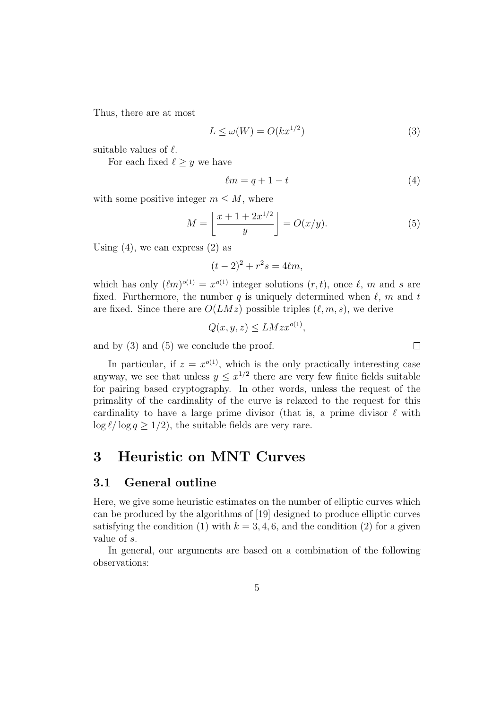Thus, there are at most

$$
L \le \omega(W) = O(kx^{1/2})\tag{3}
$$

suitable values of  $\ell$ .

For each fixed  $\ell > y$  we have

$$
\ell m = q + 1 - t \tag{4}
$$

with some positive integer  $m \leq M$ , where

$$
M = \left\lfloor \frac{x + 1 + 2x^{1/2}}{y} \right\rfloor = O(x/y). \tag{5}
$$

Using  $(4)$ , we can express  $(2)$  as

$$
(t-2)^2 + r^2s = 4\ell m,
$$

which has only  $(\ell m)^{o(1)} = x^{o(1)}$  integer solutions  $(r, t)$ , once  $\ell$ , m and s are fixed. Furthermore, the number q is uniquely determined when  $\ell$ , m and t are fixed. Since there are  $O(LMz)$  possible triples  $(\ell, m, s)$ , we derive

$$
Q(x, y, z) \le LMzx^{o(1)},
$$

and by (3) and (5) we conclude the proof.

In particular, if  $z = x^{o(1)}$ , which is the only practically interesting case anyway, we see that unless  $y \n\t\leq x^{1/2}$  there are very few finite fields suitable for pairing based cryptography. In other words, unless the request of the primality of the cardinality of the curve is relaxed to the request for this cardinality to have a large prime divisor (that is, a prime divisor  $\ell$  with  $\log \ell / \log q \geq 1/2$ , the suitable fields are very rare.

### **3 Heuristic on MNT Curves**

#### **3.1 General outline**

Here, we give some heuristic estimates on the number of elliptic curves which can be produced by the algorithms of [19] designed to produce elliptic curves satisfying the condition (1) with  $k = 3, 4, 6$ , and the condition (2) for a given value of s.

In general, our arguments are based on a combination of the following observations:

 $\Box$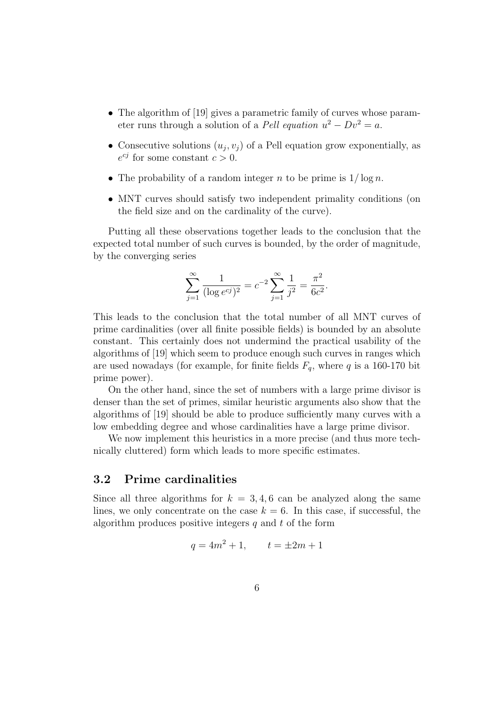- The algorithm of [19] gives a parametric family of curves whose parameter runs through a solution of a Pell equation  $u^2 - Dv^2 = a$ .
- Consecutive solutions  $(u_i, v_j)$  of a Pell equation grow exponentially, as  $e^{cj}$  for some constant  $c > 0$ .
- The probability of a random integer n to be prime is  $1/\log n$ .
- MNT curves should satisfy two independent primality conditions (on the field size and on the cardinality of the curve).

Putting all these observations together leads to the conclusion that the expected total number of such curves is bounded, by the order of magnitude, by the converging series

$$
\sum_{j=1}^{\infty} \frac{1}{(\log e^{cj})^2} = c^{-2} \sum_{j=1}^{\infty} \frac{1}{j^2} = \frac{\pi^2}{6c^2}.
$$

This leads to the conclusion that the total number of all MNT curves of prime cardinalities (over all finite possible fields) is bounded by an absolute constant. This certainly does not undermind the practical usability of the algorithms of [19] which seem to produce enough such curves in ranges which are used nowadays (for example, for finite fields  $F_q$ , where q is a 160-170 bit prime power).

On the other hand, since the set of numbers with a large prime divisor is denser than the set of primes, similar heuristic arguments also show that the algorithms of [19] should be able to produce sufficiently many curves with a low embedding degree and whose cardinalities have a large prime divisor.

We now implement this heuristics in a more precise (and thus more technically cluttered) form which leads to more specific estimates.

#### **3.2 Prime cardinalities**

Since all three algorithms for  $k = 3, 4, 6$  can be analyzed along the same lines, we only concentrate on the case  $k = 6$ . In this case, if successful, the algorithm produces positive integers  $q$  and  $t$  of the form

$$
q = 4m^2 + 1, \qquad t = \pm 2m + 1
$$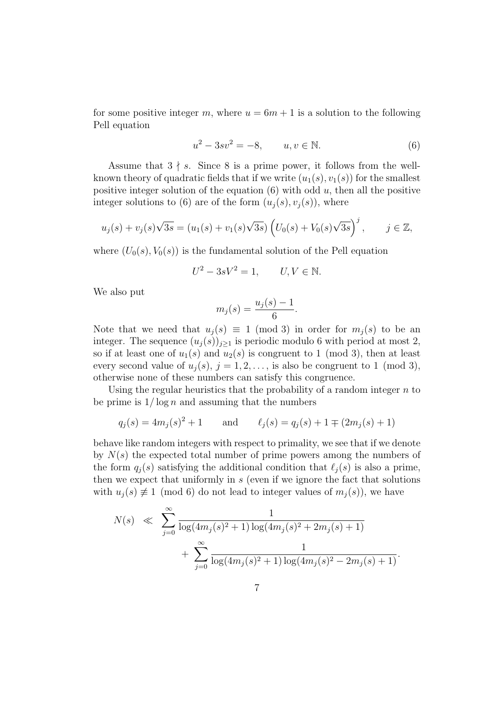for some positive integer m, where  $u = 6m + 1$  is a solution to the following Pell equation

$$
u^2 - 3sv^2 = -8, \t u, v \in \mathbb{N}.
$$
 (6)

Assume that  $3 \nmid s$ . Since 8 is a prime power, it follows from the wellknown theory of quadratic fields that if we write  $(u_1(s), v_1(s))$  for the smallest positive integer solution of the equation  $(6)$  with odd u, then all the positive integer solutions to (6) are of the form  $(u_i(s), v_i(s))$ , where

$$
u_j(s) + v_j(s)\sqrt{3s} = (u_1(s) + v_1(s)\sqrt{3s}) \left( U_0(s) + V_0(s)\sqrt{3s} \right)^j, \quad j \in \mathbb{Z},
$$

where  $(U_0(s), V_0(s))$  is the fundamental solution of the Pell equation

$$
U^2 - 3sV^2 = 1, \qquad U, V \in \mathbb{N}.
$$

We also put

$$
m_j(s) = \frac{u_j(s) - 1}{6}.
$$

Note that we need that  $u_j(s) \equiv 1 \pmod{3}$  in order for  $m_j(s)$  to be an integer. The sequence  $(u_j(s))_{j\geq 1}$  is periodic modulo 6 with period at most 2, so if at least one of  $u_1(s)$  and  $u_2(s)$  is congruent to 1 (mod 3), then at least every second value of  $u_i(s)$ ,  $j = 1, 2, \ldots$ , is also be congruent to 1 (mod 3), otherwise none of these numbers can satisfy this congruence.

Using the regular heuristics that the probability of a random integer  $n$  to be prime is  $1/\log n$  and assuming that the numbers

$$
q_j(s) = 4m_j(s)^2 + 1
$$
 and  $\ell_j(s) = q_j(s) + 1 \mp (2m_j(s) + 1)$ 

behave like random integers with respect to primality, we see that if we denote by  $N(s)$  the expected total number of prime powers among the numbers of the form  $q_i(s)$  satisfying the additional condition that  $\ell_i(s)$  is also a prime, then we expect that uniformly in s (even if we ignore the fact that solutions with  $u_i(s) \neq 1 \pmod{6}$  do not lead to integer values of  $m_i(s)$ , we have

$$
N(s) \ll \sum_{j=0}^{\infty} \frac{1}{\log(4m_j(s)^2 + 1)\log(4m_j(s)^2 + 2m_j(s) + 1)} + \sum_{j=0}^{\infty} \frac{1}{\log(4m_j(s)^2 + 1)\log(4m_j(s)^2 - 2m_j(s) + 1)}.
$$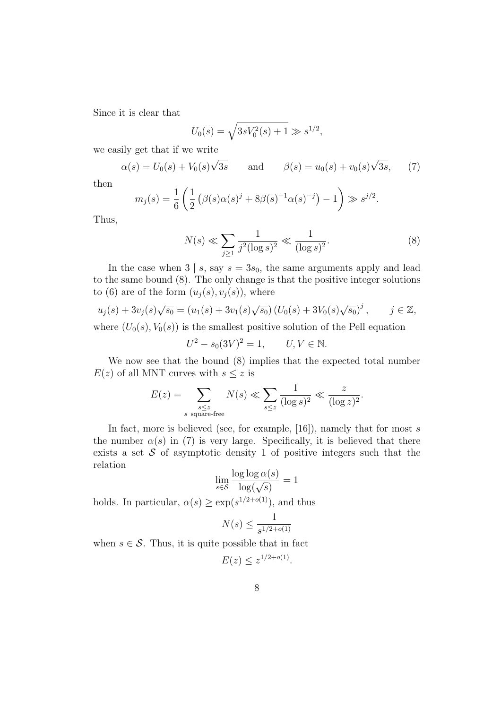Since it is clear that

$$
U_0(s) = \sqrt{3sV_0^2(s) + 1} \gg s^{1/2},
$$

we easily get that if we write

$$
\alpha(s) = U_0(s) + V_0(s)\sqrt{3s}
$$
 and  $\beta(s) = u_0(s) + v_0(s)\sqrt{3s}$ , (7)

then

$$
m_j(s) = \frac{1}{6} \left( \frac{1}{2} \left( \beta(s) \alpha(s)^j + 8 \beta(s)^{-1} \alpha(s)^{-j} \right) - 1 \right) \gg s^{j/2}.
$$

Thus,

$$
N(s) \ll \sum_{j\geq 1} \frac{1}{j^2 (\log s)^2} \ll \frac{1}{(\log s)^2}.
$$
 (8)

In the case when  $3 \mid s$ , say  $s = 3s_0$ , the same arguments apply and lead to the same bound (8). The only change is that the positive integer solutions to (6) are of the form  $(u_i(s), v_i(s))$ , where

$$
u_j(s) + 3v_j(s)\sqrt{s_0} = (u_1(s) + 3v_1(s)\sqrt{s_0}) (U_0(s) + 3V_0(s)\sqrt{s_0})^j, \qquad j \in \mathbb{Z},
$$

where  $(U_0(s), V_0(s))$  is the smallest positive solution of the Pell equation

$$
U^2 - s_0(3V)^2 = 1, \qquad U, V \in \mathbb{N}.
$$

We now see that the bound (8) implies that the expected total number  $E(z)$  of all MNT curves with  $s \leq z$  is

$$
E(z) = \sum_{\substack{s \le z \\ s \text{ square-free}}} N(s) \ll \sum_{s \le z} \frac{1}{(\log s)^2} \ll \frac{z}{(\log z)^2}.
$$

In fact, more is believed (see, for example,  $[16]$ ), namely that for most s the number  $\alpha(s)$  in (7) is very large. Specifically, it is believed that there exists a set  $S$  of asymptotic density 1 of positive integers such that the relation

$$
\lim_{s \in \mathcal{S}} \frac{\log \log \alpha(s)}{\log(\sqrt{s})} = 1
$$

holds. In particular,  $\alpha(s) \geq \exp(s^{1/2+o(1)})$ , and thus

$$
N(s) \le \frac{1}{s^{1/2 + o(1)}}
$$

when  $s \in \mathcal{S}$ . Thus, it is quite possible that in fact<br> $E(z) \leq z^{1/2+o(1)}$ .

$$
E(z) \le z^{1/2 + o(1)}
$$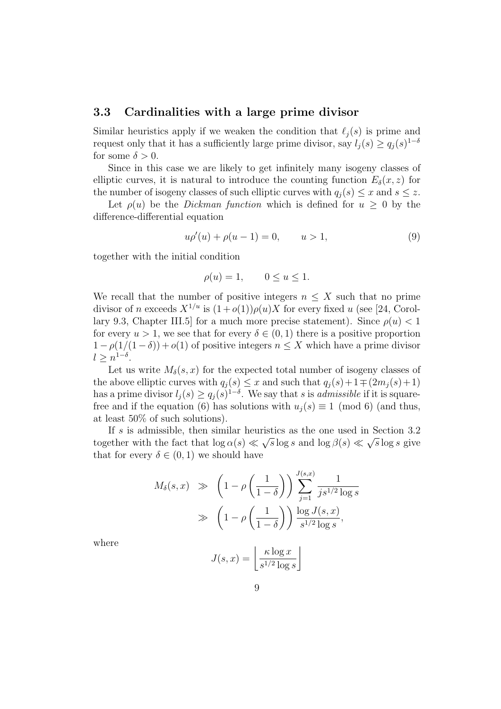#### **3.3 Cardinalities with a large prime divisor**

Similar heuristics apply if we weaken the condition that  $\ell_i(s)$  is prime and request only that it has a sufficiently large prime divisor, say  $l_i(s) \geq q_i(s)^{1-\delta}$ for some  $\delta > 0$ .

Since in this case we are likely to get infinitely many isogeny classes of elliptic curves, it is natural to introduce the counting function  $E_{\delta}(x, z)$  for the number of isogeny classes of such elliptic curves with  $q_i(s) \leq x$  and  $s \leq z$ .

Let  $\rho(u)$  be the *Dickman function* which is defined for  $u \geq 0$  by the difference-differential equation

$$
u\rho'(u) + \rho(u-1) = 0, \qquad u > 1,
$$
\n(9)

together with the initial condition

$$
\rho(u) = 1, \qquad 0 \le u \le 1.
$$

We recall that the number of positive integers  $n \leq X$  such that no prime divisor of n exceeds  $X^{1/u}$  is  $(1+o(1))\rho(u)X$  for every fixed u (see [24, Corollary 9.3, Chapter III.5] for a much more precise statement). Since  $\rho(u) < 1$ for every  $u > 1$ , we see that for every  $\delta \in (0,1)$  there is a positive proportion  $1 - \rho(1/(1 - \delta)) + o(1)$  of positive integers  $n \leq X$  which have a prime divisor  $l \geq n^{1-\delta}$ .

Let us write  $M_{\delta}(s, x)$  for the expected total number of isogeny classes of the above elliptic curves with  $q_j(s) \leq x$  and such that  $q_j(s) + 1 \mp (2m_j(s) + 1)$ has a prime divisor  $l_i(s) \geq q_i(s)^{1-\delta}$ . We say that s is *admissible* if it is squarefree and if the equation (6) has solutions with  $u_i(s) \equiv 1 \pmod{6}$  (and thus, at least 50% of such solutions).

If s is admissible, then similar heuristics as the one used in Section 3.2 together with the fact that  $\log \alpha(s) \ll \sqrt{s} \log s$  and  $\log \beta(s) \ll \sqrt{s} \log s$  give that for every  $\delta \in (0,1)$  we should have

$$
M_{\delta}(s, x) \gg \left(1 - \rho \left(\frac{1}{1 - \delta}\right)\right) \sum_{j=1}^{J(s, x)} \frac{1}{j s^{1/2} \log s}
$$

$$
\gg \left(1 - \rho \left(\frac{1}{1 - \delta}\right)\right) \frac{\log J(s, x)}{s^{1/2} \log s},
$$

where

$$
J(s,x) = \left\lfloor \frac{\kappa \log x}{s^{1/2} \log s} \right\rfloor
$$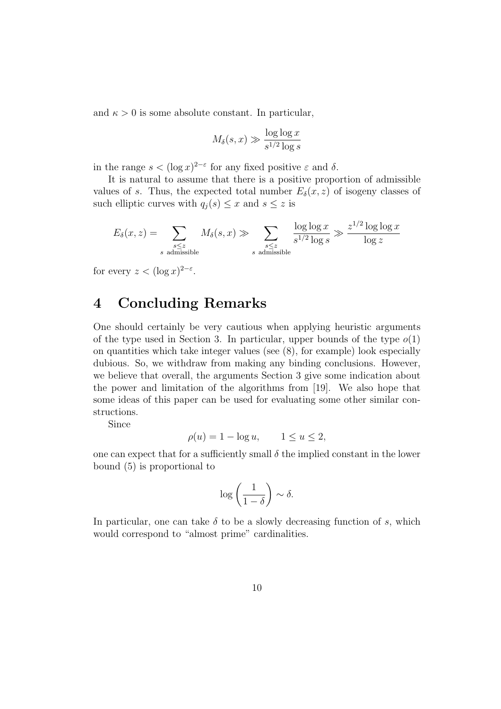and  $\kappa > 0$  is some absolute constant. In particular,

$$
M_{\delta}(s, x) \gg \frac{\log \log x}{s^{1/2} \log s}
$$

in the range  $s < (\log x)^{2-\epsilon}$  for any fixed positive  $\varepsilon$  and  $\delta$ .

It is natural to assume that there is a positive proportion of admissible values of s. Thus, the expected total number  $E_{\delta}(x, z)$  of isogeny classes of such elliptic curves with  $q_j(s) \leq x$  and  $s \leq z$  is

$$
E_{\delta}(x, z) = \sum_{\substack{s \le z \\ s \text{ admissible}}} M_{\delta}(s, x) \gg \sum_{\substack{s \le z \\ s \text{ admissible}}} \frac{\log \log x}{s^{1/2} \log s} \gg \frac{z^{1/2} \log \log x}{\log z}
$$

for every  $z < (\log x)^{2-\epsilon}$ .

# **4 Concluding Remarks**

One should certainly be very cautious when applying heuristic arguments of the type used in Section 3. In particular, upper bounds of the type  $o(1)$ on quantities which take integer values (see (8), for example) look especially dubious. So, we withdraw from making any binding conclusions. However, we believe that overall, the arguments Section 3 give some indication about the power and limitation of the algorithms from [19]. We also hope that some ideas of this paper can be used for evaluating some other similar constructions.

Since

$$
\rho(u) = 1 - \log u, \qquad 1 \le u \le 2,
$$

one can expect that for a sufficiently small  $\delta$  the implied constant in the lower bound (5) is proportional to

$$
\log\left(\frac{1}{1-\delta}\right) \sim \delta.
$$

In particular, one can take  $\delta$  to be a slowly decreasing function of s, which would correspond to "almost prime" cardinalities.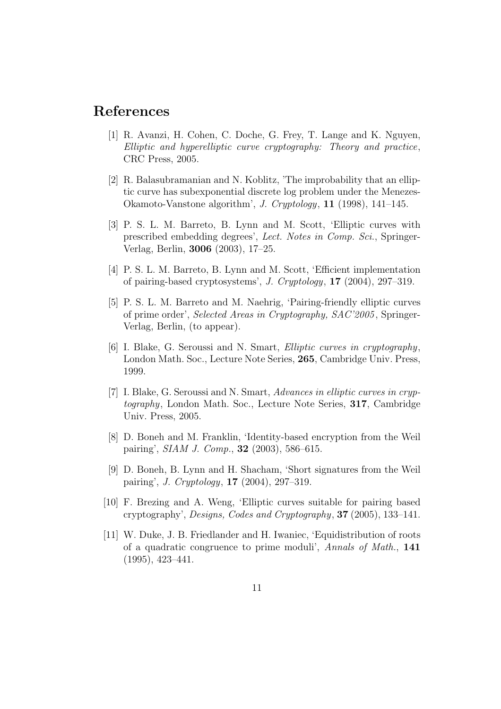## **References**

- [1] R. Avanzi, H. Cohen, C. Doche, G. Frey, T. Lange and K. Nguyen, Elliptic and hyperelliptic curve cryptography: Theory and practice, CRC Press, 2005.
- [2] R. Balasubramanian and N. Koblitz, 'The improbability that an elliptic curve has subexponential discrete log problem under the Menezes-Okamoto-Vanstone algorithm', J. Cryptology, **11** (1998), 141–145.
- [3] P. S. L. M. Barreto, B. Lynn and M. Scott, 'Elliptic curves with prescribed embedding degrees', Lect. Notes in Comp. Sci., Springer-Verlag, Berlin, **3006** (2003), 17–25.
- [4] P. S. L. M. Barreto, B. Lynn and M. Scott, 'Efficient implementation of pairing-based cryptosystems', J. Cryptology, **17** (2004), 297–319.
- [5] P. S. L. M. Barreto and M. Naehrig, 'Pairing-friendly elliptic curves of prime order', Selected Areas in Cryptography, SAC'2005 , Springer-Verlag, Berlin, (to appear).
- [6] I. Blake, G. Seroussi and N. Smart, Elliptic curves in cryptography, London Math. Soc., Lecture Note Series, **265**, Cambridge Univ. Press, 1999.
- [7] I. Blake, G. Seroussi and N. Smart, Advances in elliptic curves in cryptography, London Math. Soc., Lecture Note Series, **317**, Cambridge Univ. Press, 2005.
- [8] D. Boneh and M. Franklin, 'Identity-based encryption from the Weil pairing', SIAM J. Comp., **32** (2003), 586–615.
- [9] D. Boneh, B. Lynn and H. Shacham, 'Short signatures from the Weil pairing', J. Cryptology, **17** (2004), 297–319.
- [10] F. Brezing and A. Weng, 'Elliptic curves suitable for pairing based cryptography', Designs, Codes and Cryptography, **37** (2005), 133–141.
- [11] W. Duke, J. B. Friedlander and H. Iwaniec, 'Equidistribution of roots of a quadratic congruence to prime moduli', Annals of Math., **141** (1995), 423–441.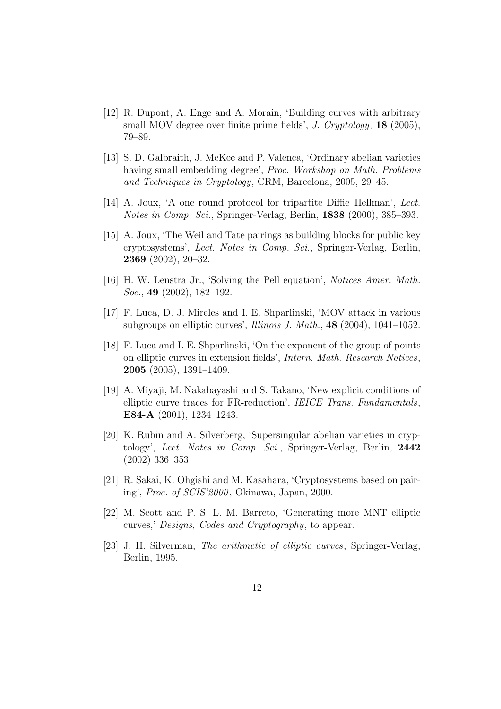- [12] R. Dupont, A. Enge and A. Morain, 'Building curves with arbitrary small MOV degree over finite prime fields', J. Cryptology, **18** (2005), 79–89.
- [13] S. D. Galbraith, J. McKee and P. Valenca, 'Ordinary abelian varieties having small embedding degree', Proc. Workshop on Math. Problems and Techniques in Cryptology, CRM, Barcelona, 2005, 29–45.
- [14] A. Joux, 'A one round protocol for tripartite Diffie–Hellman', Lect. Notes in Comp. Sci., Springer-Verlag, Berlin, **1838** (2000), 385–393.
- [15] A. Joux, 'The Weil and Tate pairings as building blocks for public key cryptosystems', Lect. Notes in Comp. Sci., Springer-Verlag, Berlin, **2369** (2002), 20–32.
- [16] H. W. Lenstra Jr., 'Solving the Pell equation', Notices Amer. Math. Soc., **49** (2002), 182–192.
- [17] F. Luca, D. J. Mireles and I. E. Shparlinski, 'MOV attack in various subgroups on elliptic curves', Illinois J. Math., **48** (2004), 1041–1052.
- [18] F. Luca and I. E. Shparlinski, 'On the exponent of the group of points on elliptic curves in extension fields', Intern. Math. Research Notices, **2005** (2005), 1391–1409.
- [19] A. Miyaji, M. Nakabayashi and S. Takano, 'New explicit conditions of elliptic curve traces for FR-reduction', IEICE Trans. Fundamentals, **E84-A** (2001), 1234–1243.
- [20] K. Rubin and A. Silverberg, 'Supersingular abelian varieties in cryptology', Lect. Notes in Comp. Sci., Springer-Verlag, Berlin, **2442** (2002) 336–353.
- [21] R. Sakai, K. Ohgishi and M. Kasahara, 'Cryptosystems based on pairing', Proc. of SCIS'2000 , Okinawa, Japan, 2000.
- [22] M. Scott and P. S. L. M. Barreto, 'Generating more MNT elliptic curves,' Designs, Codes and Cryptography, to appear.
- [23] J. H. Silverman, The arithmetic of elliptic curves, Springer-Verlag, Berlin, 1995.